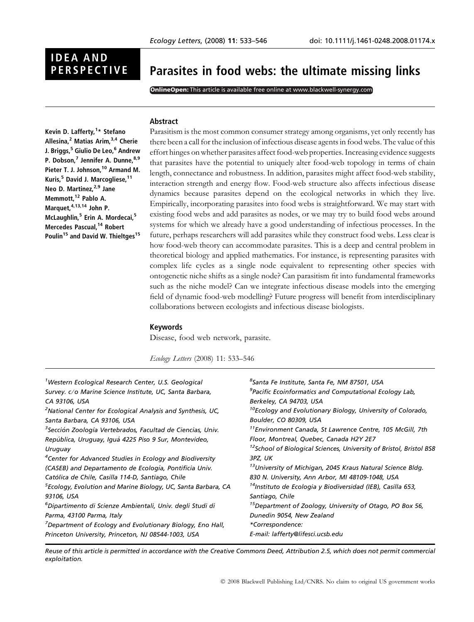# **IDEA AND<br>PERSPECTIVE**

# Parasites in food webs: the ultimate missing links

**OnlineOpen:** This article is available free online at www.blackwell-synergy.com

# Abstract

Kevin D. Lafferty,<sup>1</sup>\* Stefano Allesina,<sup>2</sup> Matias Arim,<sup>3,4</sup> Cherie J. Briggs,<sup>5</sup> Giulio De Leo,<sup>6</sup> Andrew P. Dobson,<sup>7</sup> Jennifer A. Dunne, 8,9 Pieter T. J. Johnson, <sup>10</sup> Armand M. Kuris,<sup>5</sup> David J. Marcogliese,<sup>11</sup> Neo D. Martinez, <sup>2,9</sup> Jane Memmott,<sup>12</sup> Pablo A. Marquet,4,13,14 John P. McLaughlin,<sup>5</sup> Erin A. Mordecai,<sup>5</sup> Mercedes Pascual,<sup>14</sup> Robert Poulin<sup>15</sup> and David W. Thieltges<sup>15</sup> Parasitism is the most common consumer strategy among organisms, yet only recently has there been a call for the inclusion of infectious disease agents in food webs. The value of this effort hinges on whether parasites affect food-web properties. Increasing evidence suggests that parasites have the potential to uniquely alter food-web topology in terms of chain length, connectance and robustness. In addition, parasites might affect food-web stability, interaction strength and energy flow. Food-web structure also affects infectious disease dynamics because parasites depend on the ecological networks in which they live. Empirically, incorporating parasites into food webs is straightforward. We may start with existing food webs and add parasites as nodes, or we may try to build food webs around systems for which we already have a good understanding of infectious processes. In the future, perhaps researchers will add parasites while they construct food webs. Less clear is how food-web theory can accommodate parasites. This is a deep and central problem in theoretical biology and applied mathematics. For instance, is representing parasites with complex life cycles as a single node equivalent to representing other species with ontogenetic niche shifts as a single node? Can parasitism fit into fundamental frameworks such as the niche model? Can we integrate infectious disease models into the emerging field of dynamic food-web modelling? Future progress will benefit from interdisciplinary collaborations between ecologists and infectious disease biologists.

# Keywords

Disease, food web network, parasite.

Ecology Letters (2008) 11: 533–546

| <sup>1</sup> Western Ecological Research Center, U.S. Geological          | <sup>8</sup> Santa Fe Institute, Santa Fe, NM 87501, USA                        |
|---------------------------------------------------------------------------|---------------------------------------------------------------------------------|
| Survey. c/o Marine Science Institute, UC, Santa Barbara,                  | <sup>9</sup> Pacific Ecoinformatics and Computational Ecology Lab,              |
| CA 93106, USA                                                             | Berkeley, CA 94703, USA                                                         |
| <sup>2</sup> National Center for Ecological Analysis and Synthesis, UC,   | <sup>10</sup> Ecology and Evolutionary Biology, University of Colorado,         |
| Santa Barbara, CA 93106, USA                                              | Boulder, CO 80309, USA                                                          |
| <sup>3</sup> Sección Zoología Vertebrados, Facultad de Ciencias, Univ.    | <sup>11</sup> Environment Canada, St Lawrence Centre, 105 McGill, 7th           |
| República, Uruguay, Iguá 4225 Piso 9 Sur, Montevideo,                     | Floor, Montreal, Quebec, Canada H2Y 2E7                                         |
| Uruguay                                                                   | <sup>12</sup> School of Biological Sciences, University of Bristol, Bristol BS8 |
| <sup>4</sup> Center for Advanced Studies in Ecology and Biodiversity      | 3PZ, UK                                                                         |
| (CASEB) and Departamento de Ecología, Pontificia Univ.                    | <sup>13</sup> University of Michigan, 2045 Kraus Natural Science Bldg.          |
| Católica de Chile, Casilla 114-D, Santiago, Chile                         | 830 N. University, Ann Arbor, MI 48109-1048, USA                                |
| <sup>5</sup> Ecology, Evolution and Marine Biology, UC, Santa Barbara, CA | <sup>14</sup> Instituto de Ecologia y Biodiversidad (IEB), Casilla 653,         |
| 93106, USA                                                                | Santiago, Chile                                                                 |
| <sup>6</sup> Dipartimento di Scienze Ambientali, Univ. degli Studi di     | <sup>15</sup> Department of Zoology, University of Otago, PO Box 56,            |
| Parma, 43100 Parma, Italy                                                 | Dunedin 9054, New Zealand                                                       |
| <sup>7</sup> Department of Ecology and Evolutionary Biology, Eno Hall,    | *Correspondence:                                                                |
| Princeton University, Princeton, NJ 08544-1003, USA                       | E-mail: lafferty@lifesci.ucsb.edu                                               |
|                                                                           |                                                                                 |

Reuse of this article is permitted in accordance with the Creative Commons Deed, Attribution 2.5, which does not permit commercial exploitation.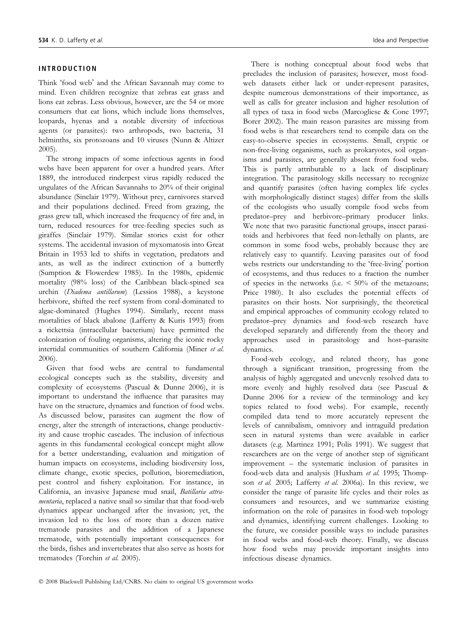### INTRODUCTION

Think 'food web' and the African Savannah may come to mind. Even children recognize that zebras eat grass and lions eat zebras. Less obvious, however, are the 54 or more consumers that eat lions, which include lions themselves, leopards, hyenas and a notable diversity of infectious agents (or parasites): two arthropods, two bacteria, 31 helminths, six protozoans and 10 viruses (Nunn & Altizer 2005).

The strong impacts of some infectious agents in food webs have been apparent for over a hundred years. After 1889, the introduced rinderpest virus rapidly reduced the ungulates of the African Savannahs to 20% of their original abundance (Sinclair 1979). Without prey, carnivores starved and their populations declined. Freed from grazing, the grass grew tall, which increased the frequency of fire and, in turn, reduced resources for tree-feeding species such as giraffes (Sinclair 1979). Similar stories exist for other systems. The accidental invasion of myxomatosis into Great Britain in 1953 led to shifts in vegetation, predators and ants, as well as the indirect extinction of a butterfly (Sumption & Flowerdew 1985). In the 1980s, epidemic mortality (98% loss) of the Caribbean black-spined sea urchin (Diadema antillarum) (Lessios 1988), a keystone herbivore, shifted the reef system from coral-dominated to algae-dominated (Hughes 1994). Similarly, recent mass mortalities of black abalone (Lafferty & Kuris 1993) from a rickettsia (intracellular bacterium) have permitted the colonization of fouling organisms, altering the iconic rocky intertidal communities of southern California (Miner et al. 2006).

Given that food webs are central to fundamental ecological concepts such as the stability, diversity and complexity of ecosystems (Pascual & Dunne 2006), it is important to understand the influence that parasites may have on the structure, dynamics and function of food webs. As discussed below, parasites can augment the flow of energy, alter the strength of interactions, change productivity and cause trophic cascades. The inclusion of infectious agents in this fundamental ecological concept might allow for a better understanding, evaluation and mitigation of human impacts on ecosystems, including biodiversity loss, climate change, exotic species, pollution, bioremediation, pest control and fishery exploitation. For instance, in California, an invasive Japanese mud snail, Batillaria attramentaria, replaced a native snail so similar that that food-web dynamics appear unchanged after the invasion; yet, the invasion led to the loss of more than a dozen native trematode parasites and the addition of a Japanese trematode, with potentially important consequences for the birds, fishes and invertebrates that also serve as hosts for trematodes (Torchin et al. 2005).

There is nothing conceptual about food webs that precludes the inclusion of parasites; however, most foodweb datasets either lack or under-represent parasites, despite numerous demonstrations of their importance, as well as calls for greater inclusion and higher resolution of all types of taxa in food webs (Marcogliese & Cone 1997; Borer 2002). The main reason parasites are missing from food webs is that researchers tend to compile data on the easy-to-observe species in ecosystems. Small, cryptic or non-free-living organisms, such as prokaryotes, soil organisms and parasites, are generally absent from food webs. This is partly attributable to a lack of disciplinary integration. The parasitology skills necessary to recognize and quantify parasites (often having complex life cycles with morphologically distinct stages) differ from the skills of the ecologists who usually compile food webs from predator–prey and herbivore–primary producer links. We note that two parasitic functional groups, insect parasitoids and herbivores that feed non-lethally on plants, are common in some food webs, probably because they are relatively easy to quantify. Leaving parasites out of food webs restricts our understanding to the 'free-living' portion of ecosystems, and thus reduces to a fraction the number of species in the networks (i.e.  $\leq 50\%$  of the metazoans; Price 1980). It also excludes the potential effects of parasites on their hosts. Not surprisingly, the theoretical and empirical approaches of community ecology related to predator–prey dynamics and food-web research have developed separately and differently from the theory and approaches used in parasitology and host–parasite dynamics.

Food-web ecology, and related theory, has gone through a significant transition, progressing from the analysis of highly aggregated and unevenly resolved data to more evenly and highly resolved data (see Pascual & Dunne 2006 for a review of the terminology and key topics related to food webs). For example, recently compiled data tend to more accurately represent the levels of cannibalism, omnivory and intraguild predation seen in natural systems than were available in earlier datasets (e.g. Martinez 1991; Polis 1991). We suggest that researchers are on the verge of another step of significant improvement – the systematic inclusion of parasites in food-web data and analysis (Huxham et al. 1995; Thompson et al. 2005; Lafferty et al. 2006a). In this review, we consider the range of parasite life cycles and their roles as consumers and resources, and we summarize existing information on the role of parasites in food-web topology and dynamics, identifying current challenges. Looking to the future, we consider possible ways to include parasites in food webs and food-web theory. Finally, we discuss how food webs may provide important insights into infectious disease dynamics.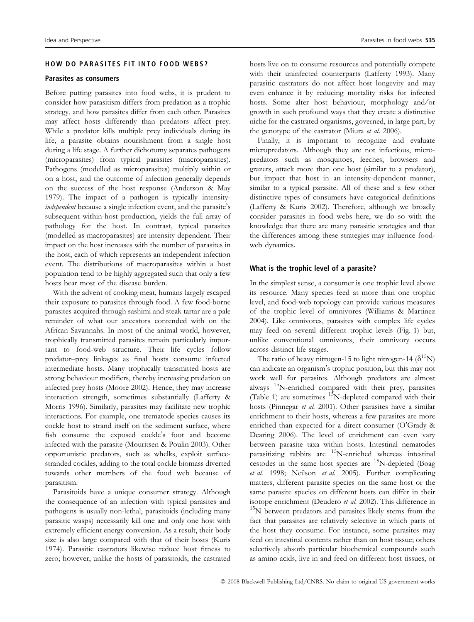### HOW DO PARASITES FIT INTO FOOD WEBS?

#### Parasites as consumers

Before putting parasites into food webs, it is prudent to consider how parasitism differs from predation as a trophic strategy, and how parasites differ from each other. Parasites may affect hosts differently than predators affect prey. While a predator kills multiple prey individuals during its life, a parasite obtains nourishment from a single host during a life stage. A further dichotomy separates pathogens (microparasites) from typical parasites (macroparasites). Pathogens (modelled as microparasites) multiply within or on a host, and the outcome of infection generally depends on the success of the host response (Anderson & May 1979). The impact of a pathogen is typically intensityindependent because a single infection event, and the parasite's subsequent within-host production, yields the full array of pathology for the host. In contrast, typical parasites (modelled as macroparasites) are intensity dependent. Their impact on the host increases with the number of parasites in the host, each of which represents an independent infection event. The distributions of macroparasites within a host population tend to be highly aggregated such that only a few hosts bear most of the disease burden.

With the advent of cooking meat, humans largely escaped their exposure to parasites through food. A few food-borne parasites acquired through sashimi and steak tartar are a pale reminder of what our ancestors contended with on the African Savannahs. In most of the animal world, however, trophically transmitted parasites remain particularly important to food-web structure. Their life cycles follow predator–prey linkages as final hosts consume infected intermediate hosts. Many trophically transmitted hosts are strong behaviour modifiers, thereby increasing predation on infected prey hosts (Moore 2002). Hence, they may increase interaction strength, sometimes substantially (Lafferty & Morris 1996). Similarly, parasites may facilitate new trophic interactions. For example, one trematode species causes its cockle host to strand itself on the sediment surface, where fish consume the exposed cockle's foot and become infected with the parasite (Mouritsen & Poulin 2003). Other opportunistic predators, such as whelks, exploit surfacestranded cockles, adding to the total cockle biomass diverted towards other members of the food web because of parasitism.

Parasitoids have a unique consumer strategy. Although the consequence of an infection with typical parasites and pathogens is usually non-lethal, parasitoids (including many parasitic wasps) necessarily kill one and only one host with extremely efficient energy conversion. As a result, their body size is also large compared with that of their hosts (Kuris 1974). Parasitic castrators likewise reduce host fitness to zero; however, unlike the hosts of parasitoids, the castrated hosts live on to consume resources and potentially compete with their uninfected counterparts (Lafferty 1993). Many parasitic castrators do not affect host longevity and may even enhance it by reducing mortality risks for infected hosts. Some alter host behaviour, morphology and/or growth in such profound ways that they create a distinctive niche for the castrated organisms, governed, in large part, by the genotype of the castrator (Miura et al. 2006).

Finally, it is important to recognize and evaluate micropredators. Although they are not infectious, micropredators such as mosquitoes, leeches, browsers and grazers, attack more than one host (similar to a predator), but impact that host in an intensity-dependent manner, similar to a typical parasite. All of these and a few other distinctive types of consumers have categorical definitions (Lafferty & Kuris 2002). Therefore, although we broadly consider parasites in food webs here, we do so with the knowledge that there are many parasitic strategies and that the differences among these strategies may influence foodweb dynamics.

#### What is the trophic level of a parasite?

In the simplest sense, a consumer is one trophic level above its resource. Many species feed at more than one trophic level, and food-web topology can provide various measures of the trophic level of omnivores (Williams & Martinez 2004). Like omnivores, parasites with complex life cycles may feed on several different trophic levels (Fig. 1) but, unlike conventional omnivores, their omnivory occurs across distinct life stages.

The ratio of heavy nitrogen-15 to light nitrogen-14 ( $\delta^{15}N$ ) can indicate an organism's trophic position, but this may not work well for parasites. Although predators are almost always 15N-enriched compared with their prey, parasites (Table 1) are sometimes  ${}^{15}$ N-depleted compared with their hosts (Pinnegar et al. 2001). Other parasites have a similar enrichment to their hosts, whereas a few parasites are more enriched than expected for a direct consumer (O'Grady & Dearing 2006). The level of enrichment can even vary between parasite taxa within hosts. Intestinal nematodes parasitizing rabbits are  $15$ N-enriched whereas intestinal cestodes in the same host species are 15N-depleted (Boag et al. 1998; Neilson et al. 2005). Further complicating matters, different parasite species on the same host or the same parasite species on different hosts can differ in their isotope enrichment (Deudero *et al.* 2002). This difference in <sup>15</sup>N between predators and parasites likely stems from the fact that parasites are relatively selective in which parts of the host they consume. For instance, some parasites may feed on intestinal contents rather than on host tissue; others selectively absorb particular biochemical compounds such as amino acids, live in and feed on different host tissues, or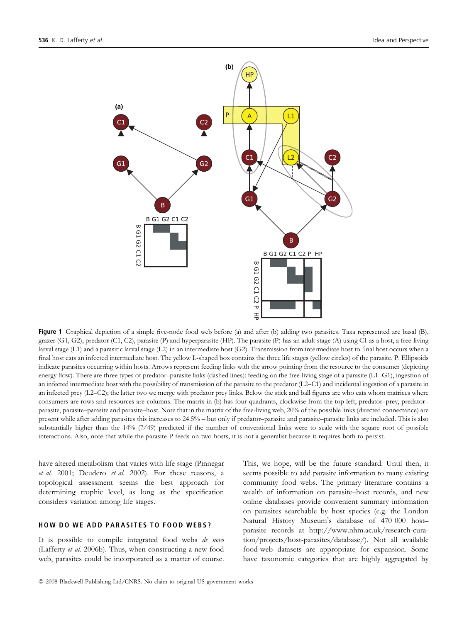

Figure 1 Graphical depiction of a simple five-node food web before (a) and after (b) adding two parasites. Taxa represented are basal (B), grazer (G1, G2), predator (C1, C2), parasite (P) and hyperparasite (HP). The parasite (P) has an adult stage (A) using C1 as a host, a free-living larval stage (L1) and a parasitic larval stage (L2) in an intermediate host (G2). Transmission from intermediate host to final host occurs when a final host eats an infected intermediate host. The yellow L-shaped box contains the three life stages (yellow circles) of the parasite, P. Ellipsoids indicate parasites occurring within hosts. Arrows represent feeding links with the arrow pointing from the resource to the consumer (depicting energy flow). There are three types of predator–parasite links (dashed lines): feeding on the free-living stage of a parasite (L1–G1), ingestion of an infected intermediate host with the possibility of transmission of the parasite to the predator (L2–C1) and incidental ingestion of a parasite in an infected prey (L2–C2); the latter two we merge with predator prey links. Below the stick and ball figures are who eats whom matrices where consumers are rows and resources are columns. The matrix in (b) has four quadrants, clockwise from the top left, predator–prey, predator– parasite, parasite–parasite and parasite–host. Note that in the matrix of the free-living web, 20% of the possible links (directed connectance) are present while after adding parasites this increases to 24.5% – but only if predator–parasite and parasite–parasite links are included. This is also substantially higher than the 14% (7/49) predicted if the number of conventional links were to scale with the square root of possible interactions. Also, note that while the parasite P feeds on two hosts, it is not a generalist because it requires both to persist.

have altered metabolism that varies with life stage (Pinnegar et al. 2001; Deudero et al. 2002). For these reasons, a topological assessment seems the best approach for determining trophic level, as long as the specification considers variation among life stages.

#### HOW DO WE ADD PARASITES TO FOOD WEBS?

It is possible to compile integrated food webs de novo (Lafferty et al. 2006b). Thus, when constructing a new food web, parasites could be incorporated as a matter of course. This, we hope, will be the future standard. Until then, it seems possible to add parasite information to many existing community food webs. The primary literature contains a wealth of information on parasite–host records, and new online databases provide convenient summary information on parasites searchable by host species (e.g. the London Natural History Museum's database of 470 000 hostparasite records at http://www.nhm.ac.uk/research-curation/projects/host-parasites/database/). Not all available food-web datasets are appropriate for expansion. Some have taxonomic categories that are highly aggregated by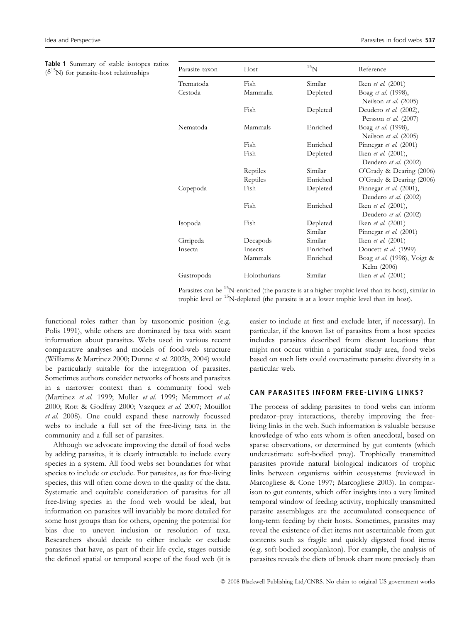| Table 1 Summary of stable isotopes ratios<br>$(\delta^{15}N)$ for parasite-host relationships | Parasite taxon | Host         | $^{15}$ N           | Reference                                                      |
|-----------------------------------------------------------------------------------------------|----------------|--------------|---------------------|----------------------------------------------------------------|
|                                                                                               | Trematoda      | Fish         | Similar             | Iken <i>et al.</i> $(2001)$                                    |
|                                                                                               | Cestoda        | Mammalia     | Depleted            | Boag et al. (1998),<br>Neilson et al. (2005)                   |
|                                                                                               |                | Fish         | Depleted            | Deudero et al. (2002),<br>Persson <i>et al.</i> $(2007)$       |
|                                                                                               | Nematoda       | Mammals      | Enriched            | Boag et al. (1998),<br>Neilson et al. (2005)                   |
|                                                                                               |                | Fish         | Enriched            | Pinnegar et al. $(2001)$                                       |
|                                                                                               |                | Fish         | Depleted            | Iken <i>et al.</i> $(2001)$ ,<br>Deudero et al. (2002)         |
|                                                                                               |                | Reptiles     | Similar             | O'Grady & Dearing (2006)                                       |
|                                                                                               |                | Reptiles     | Enriched            | O'Grady & Dearing (2006)                                       |
|                                                                                               | Copepoda       | Fish         | Depleted            | Pinnegar et al. (2001),<br>Deudero et al. (2002)               |
|                                                                                               |                | Fish         | Enriched            | Iken <i>et al.</i> $(2001)$ ,<br>Deudero et al. (2002)         |
|                                                                                               | Isopoda        | Fish         | Depleted<br>Similar | Iken <i>et al.</i> $(2001)$<br>Pinnegar <i>et al.</i> $(2001)$ |
|                                                                                               | Cirripeda      | Decapods     | Similar             | Iken <i>et al.</i> $(2001)$                                    |
|                                                                                               | Insecta        | Insects      | Enriched            | Doucett et al. (1999)                                          |
|                                                                                               |                | Mammals      | Enriched            | Boag et al. (1998), Voigt &<br>Kelm (2006)                     |
|                                                                                               | Gastropoda     | Holothurians | Similar             | Iken <i>et al.</i> $(2001)$                                    |

Parasites can be <sup>15</sup>N-enriched (the parasite is at a higher trophic level than its host), similar in trophic level or 15N-depleted (the parasite is at a lower trophic level than its host).

functional roles rather than by taxonomic position (e.g. Polis 1991), while others are dominated by taxa with scant information about parasites. Webs used in various recent comparative analyses and models of food-web structure (Williams & Martinez 2000; Dunne et al. 2002b, 2004) would be particularly suitable for the integration of parasites. Sometimes authors consider networks of hosts and parasites in a narrower context than a community food web (Martinez et al. 1999; Muller et al. 1999; Memmott et al. 2000; Rott & Godfray 2000; Vazquez et al. 2007; Mouillot et al. 2008). One could expand these narrowly focussed webs to include a full set of the free-living taxa in the community and a full set of parasites.

Although we advocate improving the detail of food webs by adding parasites, it is clearly intractable to include every species in a system. All food webs set boundaries for what species to include or exclude. For parasites, as for free-living species, this will often come down to the quality of the data. Systematic and equitable consideration of parasites for all free-living species in the food web would be ideal, but information on parasites will invariably be more detailed for some host groups than for others, opening the potential for bias due to uneven inclusion or resolution of taxa. Researchers should decide to either include or exclude parasites that have, as part of their life cycle, stages outside the defined spatial or temporal scope of the food web (it is easier to include at first and exclude later, if necessary). In particular, if the known list of parasites from a host species includes parasites described from distant locations that might not occur within a particular study area, food webs based on such lists could overestimate parasite diversity in a particular web.

# CAN PARASITES INFORM FREE-LIVING LINKS?

The process of adding parasites to food webs can inform predator–prey interactions, thereby improving the freeliving links in the web. Such information is valuable because knowledge of who eats whom is often anecdotal, based on sparse observations, or determined by gut contents (which underestimate soft-bodied prey). Trophically transmitted parasites provide natural biological indicators of trophic links between organisms within ecosystems (reviewed in Marcogliese & Cone 1997; Marcogliese 2003). In comparison to gut contents, which offer insights into a very limited temporal window of feeding activity, trophically transmitted parasite assemblages are the accumulated consequence of long-term feeding by their hosts. Sometimes, parasites may reveal the existence of diet items not ascertainable from gut contents such as fragile and quickly digested food items (e.g. soft-bodied zooplankton). For example, the analysis of parasites reveals the diets of brook charr more precisely than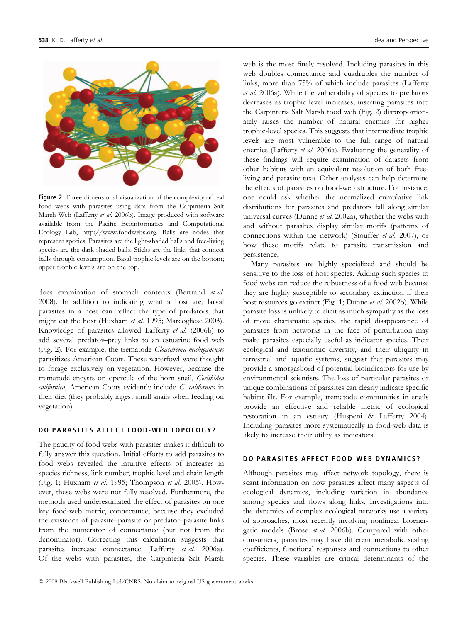

Figure 2 Three-dimensional visualization of the complexity of real food webs with parasites using data from the Carpinteria Salt Marsh Web (Lafferty et al. 2006b). Image produced with software available from the Pacific Ecoinformatics and Computational Ecology Lab, http://www.foodwebs.org. Balls are nodes that represent species. Parasites are the light-shaded balls and free-living species are the dark-shaded balls. Sticks are the links that connect balls through consumption. Basal trophic levels are on the bottom; upper trophic levels are on the top.

does examination of stomach contents (Bertrand et al. 2008). In addition to indicating what a host ate, larval parasites in a host can reflect the type of predators that might eat the host (Huxham et al. 1995; Marcogliese 2003). Knowledge of parasites allowed Lafferty et al. (2006b) to add several predator–prey links to an estuarine food web (Fig. 2). For example, the trematode Cloacitrema michiganensis parasitizes American Coots. These waterfowl were thought to forage exclusively on vegetation. However, because the trematode encysts on opercula of the horn snail, Cerithidea californica, American Coots evidently include C. californica in their diet (they probably ingest small snails when feeding on vegetation).

# DO PARASITES AFFECT FOOD-WEB TOPOLOGY?

The paucity of food webs with parasites makes it difficult to fully answer this question. Initial efforts to add parasites to food webs revealed the intuitive effects of increases in species richness, link number, trophic level and chain length (Fig. 1; Huxham et al. 1995; Thompson et al. 2005). However, these webs were not fully resolved. Furthermore, the methods used underestimated the effect of parasites on one key food-web metric, connectance, because they excluded the existence of parasite–parasite or predator–parasite links from the numerator of connectance (but not from the denominator). Correcting this calculation suggests that parasites increase connectance (Lafferty et al. 2006a). Of the webs with parasites, the Carpinteria Salt Marsh web is the most finely resolved. Including parasites in this web doubles connectance and quadruples the number of links, more than 75% of which include parasites (Lafferty et al. 2006a). While the vulnerability of species to predators decreases as trophic level increases, inserting parasites into the Carpinteria Salt Marsh food web (Fig. 2) disproportionately raises the number of natural enemies for higher trophic-level species. This suggests that intermediate trophic levels are most vulnerable to the full range of natural enemies (Lafferty et al. 2006a). Evaluating the generality of these findings will require examination of datasets from other habitats with an equivalent resolution of both freeliving and parasite taxa. Other analyses can help determine the effects of parasites on food-web structure. For instance, one could ask whether the normalized cumulative link distributions for parasites and predators fall along similar universal curves (Dunne et al. 2002a), whether the webs with and without parasites display similar motifs (patterns of connections within the network) (Stouffer et al. 2007), or how these motifs relate to parasite transmission and persistence.

Many parasites are highly specialized and should be sensitive to the loss of host species. Adding such species to food webs can reduce the robustness of a food web because they are highly susceptible to secondary extinction if their host resources go extinct (Fig. 1; Dunne et al. 2002b). While parasite loss is unlikely to elicit as much sympathy as the loss of more charismatic species, the rapid disappearance of parasites from networks in the face of perturbation may make parasites especially useful as indicator species. Their ecological and taxonomic diversity, and their ubiquity in terrestrial and aquatic systems, suggest that parasites may provide a smorgasbord of potential bioindicators for use by environmental scientists. The loss of particular parasites or unique combinations of parasites can clearly indicate specific habitat ills. For example, trematode communities in snails provide an effective and reliable metric of ecological restoration in an estuary (Huspeni & Lafferty 2004). Including parasites more systematically in food-web data is likely to increase their utility as indicators.

# DO PARASITES AFFECT FOOD-WEB DYNAMICS?

Although parasites may affect network topology, there is scant information on how parasites affect many aspects of ecological dynamics, including variation in abundance among species and flows along links. Investigations into the dynamics of complex ecological networks use a variety of approaches, most recently involving nonlinear bioenergetic models (Brose et al. 2006b). Compared with other consumers, parasites may have different metabolic scaling coefficients, functional responses and connections to other species. These variables are critical determinants of the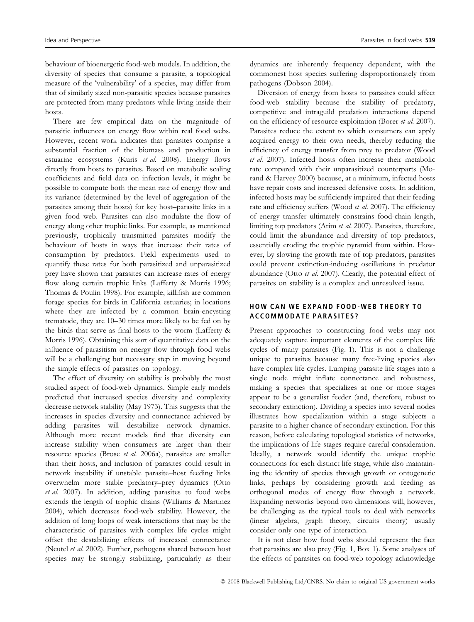behaviour of bioenergetic food-web models. In addition, the diversity of species that consume a parasite, a topological measure of the 'vulnerability' of a species, may differ from that of similarly sized non-parasitic species because parasites are protected from many predators while living inside their hosts.

There are few empirical data on the magnitude of parasitic influences on energy flow within real food webs. However, recent work indicates that parasites comprise a substantial fraction of the biomass and production in estuarine ecosystems (Kuris et al. 2008). Energy flows directly from hosts to parasites. Based on metabolic scaling coefficients and field data on infection levels, it might be possible to compute both the mean rate of energy flow and its variance (determined by the level of aggregation of the parasites among their hosts) for key host–parasite links in a given food web. Parasites can also modulate the flow of energy along other trophic links. For example, as mentioned previously, trophically transmitted parasites modify the behaviour of hosts in ways that increase their rates of consumption by predators. Field experiments used to quantify these rates for both parasitized and unparasitized prey have shown that parasites can increase rates of energy flow along certain trophic links (Lafferty & Morris 1996; Thomas & Poulin 1998). For example, killifish are common forage species for birds in California estuaries; in locations where they are infected by a common brain-encysting trematode, they are 10–30 times more likely to be fed on by the birds that serve as final hosts to the worm (Lafferty & Morris 1996). Obtaining this sort of quantitative data on the influence of parasitism on energy flow through food webs will be a challenging but necessary step in moving beyond the simple effects of parasites on topology.

The effect of diversity on stability is probably the most studied aspect of food-web dynamics. Simple early models predicted that increased species diversity and complexity decrease network stability (May 1973). This suggests that the increases in species diversity and connectance achieved by adding parasites will destabilize network dynamics. Although more recent models find that diversity can increase stability when consumers are larger than their resource species (Brose et al. 2006a), parasites are smaller than their hosts, and inclusion of parasites could result in network instability if unstable parasite–host feeding links overwhelm more stable predatory–prey dynamics (Otto et al. 2007). In addition, adding parasites to food webs extends the length of trophic chains (Williams & Martinez 2004), which decreases food-web stability. However, the addition of long loops of weak interactions that may be the characteristic of parasites with complex life cycles might offset the destabilizing effects of increased connectance (Neutel et al. 2002). Further, pathogens shared between host species may be strongly stabilizing, particularly as their dynamics are inherently frequency dependent, with the commonest host species suffering disproportionately from pathogens (Dobson 2004).

Diversion of energy from hosts to parasites could affect food-web stability because the stability of predatory, competitive and intraguild predation interactions depend on the efficiency of resource exploitation (Borer et al. 2007). Parasites reduce the extent to which consumers can apply acquired energy to their own needs, thereby reducing the efficiency of energy transfer from prey to predator (Wood et al. 2007). Infected hosts often increase their metabolic rate compared with their unparasitized counterparts (Morand & Harvey 2000) because, at a minimum, infected hosts have repair costs and increased defensive costs. In addition, infected hosts may be sufficiently impaired that their feeding rate and efficiency suffers (Wood et al. 2007). The efficiency of energy transfer ultimately constrains food-chain length, limiting top predators (Arim et al. 2007). Parasites, therefore, could limit the abundance and diversity of top predators, essentially eroding the trophic pyramid from within. However, by slowing the growth rate of top predators, parasites could prevent extinction-inducing oscillations in predator abundance (Otto et al. 2007). Clearly, the potential effect of parasites on stability is a complex and unresolved issue.

# HOW CAN WE EXPAND FOOD-WEB THEORY TO ACCOMMODATE PARASITES?

Present approaches to constructing food webs may not adequately capture important elements of the complex life cycles of many parasites (Fig. 1). This is not a challenge unique to parasites because many free-living species also have complex life cycles. Lumping parasite life stages into a single node might inflate connectance and robustness, making a species that specializes at one or more stages appear to be a generalist feeder (and, therefore, robust to secondary extinction). Dividing a species into several nodes illustrates how specialization within a stage subjects a parasite to a higher chance of secondary extinction. For this reason, before calculating topological statistics of networks, the implications of life stages require careful consideration. Ideally, a network would identify the unique trophic connections for each distinct life stage, while also maintaining the identity of species through growth or ontogenetic links, perhaps by considering growth and feeding as orthogonal modes of energy flow through a network. Expanding networks beyond two dimensions will, however, be challenging as the typical tools to deal with networks (linear algebra, graph theory, circuits theory) usually consider only one type of interaction.

It is not clear how food webs should represent the fact that parasites are also prey (Fig. 1, Box 1). Some analyses of the effects of parasites on food-web topology acknowledge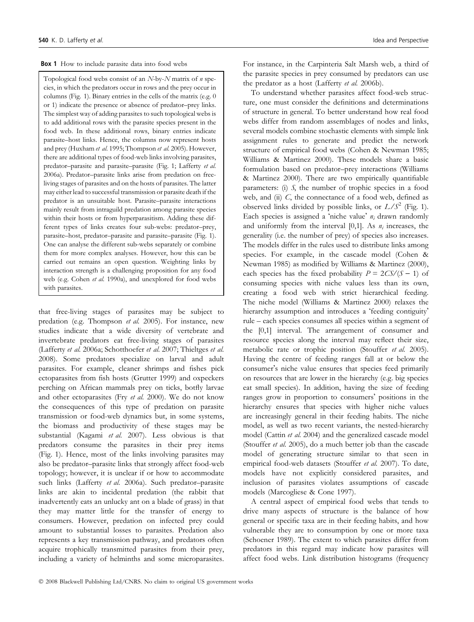#### Box 1 How to include parasite data into food webs

Topological food webs consist of an  $N$ -by- $N$  matrix of  $n$  species, in which the predators occur in rows and the prey occur in columns (Fig. 1). Binary entries in the cells of the matrix (e.g. 0 or 1) indicate the presence or absence of predator–prey links. The simplest way of adding parasites to such topological webs is to add additional rows with the parasite species present in the food web. In these additional rows, binary entries indicate parasite–host links. Hence, the columns now represent hosts and prey (Huxham et al. 1995; Thompson et al. 2005). However, there are additional types of food-web links involving parasites, predator–parasite and parasite–parasite (Fig. 1; Lafferty et al. 2006a). Predator–parasite links arise from predation on freeliving stages of parasites and on the hosts of parasites. The latter may either lead to successful transmission or parasite death if the predator is an unsuitable host. Parasite–parasite interactions mainly result from intraguild predation among parasite species within their hosts or from hyperparasitism. Adding these different types of links creates four sub-webs: predator–prey, parasite–host, predator–parasite and parasite–parasite (Fig. 1). One can analyse the different sub-webs separately or combine them for more complex analyses. However, how this can be carried out remains an open question. Weighting links by interaction strength is a challenging proposition for any food web (e.g. Cohen et al. 1990a), and unexplored for food webs with parasites.

that free-living stages of parasites may be subject to predation (e.g. Thompson et al. 2005). For instance, new studies indicate that a wide diversity of vertebrate and invertebrate predators eat free-living stages of parasites (Lafferty et al. 2006a; Schotthoefer et al. 2007; Thieltges et al. 2008). Some predators specialize on larval and adult parasites. For example, cleaner shrimps and fishes pick ectoparasites from fish hosts (Grutter 1999) and oxpeckers perching on African mammals prey on ticks, botfly larvae and other ectoparasites (Fry et al. 2000). We do not know the consequences of this type of predation on parasite transmission or food-web dynamics but, in some systems, the biomass and productivity of these stages may be substantial (Kagami et al. 2007). Less obvious is that predators consume the parasites in their prey items (Fig. 1). Hence, most of the links involving parasites may also be predator–parasite links that strongly affect food-web topology; however, it is unclear if or how to accommodate such links (Lafferty et al. 2006a). Such predator-parasite links are akin to incidental predation (the rabbit that inadvertently eats an unlucky ant on a blade of grass) in that they may matter little for the transfer of energy to consumers. However, predation on infected prey could amount to substantial losses to parasites. Predation also represents a key transmission pathway, and predators often acquire trophically transmitted parasites from their prey, including a variety of helminths and some microparasites. For instance, in the Carpinteria Salt Marsh web, a third of the parasite species in prey consumed by predators can use the predator as a host (Lafferty et al. 2006b).

To understand whether parasites affect food-web structure, one must consider the definitions and determinations of structure in general. To better understand how real food webs differ from random assemblages of nodes and links, several models combine stochastic elements with simple link assignment rules to generate and predict the network structure of empirical food webs (Cohen & Newman 1985; Williams & Martinez 2000). These models share a basic formulation based on predator–prey interactions (Williams & Martinez 2000). There are two empirically quantifiable parameters: (i) S, the number of trophic species in a food web, and (ii)  $C$ , the connectance of a food web, defined as observed links divided by possible links, or  $L/S^2$  (Fig. 1). Each species is assigned a 'niche value'  $n_i$  drawn randomly and uniformly from the interval  $[0,1]$ . As  $n_i$  increases, the generality (i.e. the number of prey) of species also increases. The models differ in the rules used to distribute links among species. For example, in the cascade model (Cohen & Newman 1985) as modified by Williams & Martinez (2000), each species has the fixed probability  $P = 2CS/(S - 1)$  of consuming species with niche values less than its own, creating a food web with strict hierarchical feeding. The niche model (Williams & Martinez 2000) relaxes the hierarchy assumption and introduces a 'feeding contiguity' rule – each species consumes all species within a segment of the [0,1] interval. The arrangement of consumer and resource species along the interval may reflect their size, metabolic rate or trophic position (Stouffer et al. 2005). Having the centre of feeding ranges fall at or below the consumer's niche value ensures that species feed primarily on resources that are lower in the hierarchy (e.g. big species eat small species). In addition, having the size of feeding ranges grow in proportion to consumers' positions in the hierarchy ensures that species with higher niche values are increasingly general in their feeding habits. The niche model, as well as two recent variants, the nested-hierarchy model (Cattin et al. 2004) and the generalized cascade model (Stouffer et al. 2005), do a much better job than the cascade model of generating structure similar to that seen in empirical food-web datasets (Stouffer et al. 2007). To date, models have not explicitly considered parasites, and inclusion of parasites violates assumptions of cascade models (Marcogliese & Cone 1997).

A central aspect of empirical food webs that tends to drive many aspects of structure is the balance of how general or specific taxa are in their feeding habits, and how vulnerable they are to consumption by one or more taxa (Schoener 1989). The extent to which parasites differ from predators in this regard may indicate how parasites will affect food webs. Link distribution histograms (frequency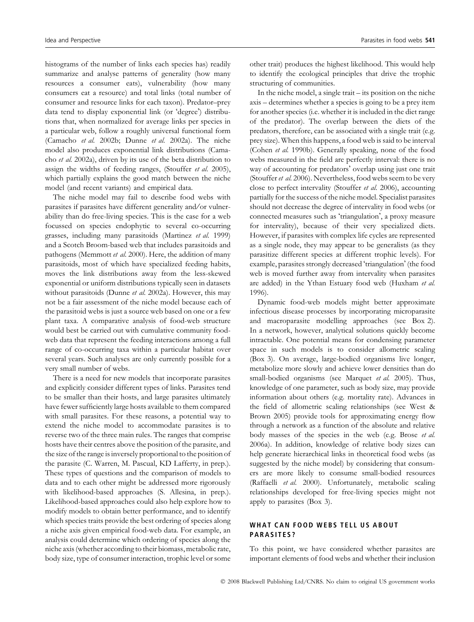histograms of the number of links each species has) readily summarize and analyse patterns of generality (how many resources a consumer eats), vulnerability (how many consumers eat a resource) and total links (total number of consumer and resource links for each taxon). Predator–prey data tend to display exponential link (or 'degree') distributions that, when normalized for average links per species in a particular web, follow a roughly universal functional form (Camacho et al. 2002b; Dunne et al. 2002a). The niche model also produces exponential link distributions (Camacho et al. 2002a), driven by its use of the beta distribution to assign the widths of feeding ranges, (Stouffer et al. 2005), which partially explains the good match between the niche model (and recent variants) and empirical data.

The niche model may fail to describe food webs with parasites if parasites have different generality and/or vulnerability than do free-living species. This is the case for a web focussed on species endophytic to several co-occurring grasses, including many parasitoids (Martinez et al. 1999) and a Scotch Broom-based web that includes parasitoids and pathogens (Memmott et al. 2000). Here, the addition of many parasitoids, most of which have specialized feeding habits, moves the link distributions away from the less-skewed exponential or uniform distributions typically seen in datasets without parasitoids (Dunne et al. 2002a). However, this may not be a fair assessment of the niche model because each of the parasitoid webs is just a source web based on one or a few plant taxa. A comparative analysis of food-web structure would best be carried out with cumulative community foodweb data that represent the feeding interactions among a full range of co-occurring taxa within a particular habitat over several years. Such analyses are only currently possible for a very small number of webs.

There is a need for new models that incorporate parasites and explicitly consider different types of links. Parasites tend to be smaller than their hosts, and large parasites ultimately have fewer sufficiently large hosts available to them compared with small parasites. For these reasons, a potential way to extend the niche model to accommodate parasites is to reverse two of the three main rules. The ranges that comprise hosts have their centres above the position of the parasite, and the size of the range is inversely proportional to the position of the parasite (C. Warren, M. Pascual, KD Lafferty, in prep.). These types of questions and the comparison of models to data and to each other might be addressed more rigorously with likelihood-based approaches (S. Allesina, in prep.). Likelihood-based approaches could also help explore how to modify models to obtain better performance, and to identify which species traits provide the best ordering of species along a niche axis given empirical food-web data. For example, an analysis could determine which ordering of species along the niche axis (whether according to their biomass, metabolic rate, body size, type of consumer interaction, trophic level or some

other trait) produces the highest likelihood. This would help to identify the ecological principles that drive the trophic structuring of communities.

In the niche model, a single trait – its position on the niche axis – determines whether a species is going to be a prey item for another species (i.e. whether it is included in the diet range of the predator). The overlap between the diets of the predators, therefore, can be associated with a single trait (e.g. prey size). When this happens, a food web is said to be interval (Cohen et al. 1990b). Generally speaking, none of the food webs measured in the field are perfectly interval: there is no way of accounting for predators' overlap using just one trait (Stouffer et al. 2006). Nevertheless, food webs seem to be very close to perfect intervality (Stouffer et al. 2006), accounting partially for the success of the niche model. Specialist parasites should not decrease the degree of intervality in food webs (or connected measures such as 'triangulation', a proxy measure for intervality), because of their very specialized diets. However, if parasites with complex life cycles are represented as a single node, they may appear to be generalists (as they parasitize different species at different trophic levels). For example, parasites strongly decreased 'triangulation' (the food web is moved further away from intervality when parasites are added) in the Ythan Estuary food web (Huxham et al. 1996).

Dynamic food-web models might better approximate infectious disease processes by incorporating microparasite and macroparasite modelling approaches (see Box 2). In a network, however, analytical solutions quickly become intractable. One potential means for condensing parameter space in such models is to consider allometric scaling (Box 3). On average, large-bodied organisms live longer, metabolize more slowly and achieve lower densities than do small-bodied organisms (see Marquet et al. 2005). Thus, knowledge of one parameter, such as body size, may provide information about others (e.g. mortality rate). Advances in the field of allometric scaling relationships (see West & Brown 2005) provide tools for approximating energy flow through a network as a function of the absolute and relative body masses of the species in the web (e.g. Brose et al. 2006a). In addition, knowledge of relative body sizes can help generate hierarchical links in theoretical food webs (as suggested by the niche model) by considering that consumers are more likely to consume small-bodied resources (Raffaelli et al. 2000). Unfortunately, metabolic scaling relationships developed for free-living species might not apply to parasites (Box 3).

# WHAT CAN FOOD WEBS TELL US ABOUT PARASITES?

To this point, we have considered whether parasites are important elements of food webs and whether their inclusion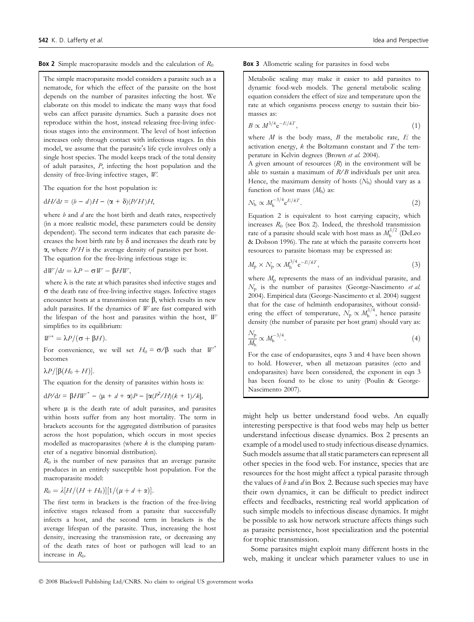#### **Box 2** Simple macroparasite models and the calculation of  $R_0$

The simple macroparasite model considers a parasite such as a nematode, for which the effect of the parasite on the host depends on the number of parasites infecting the host. We elaborate on this model to indicate the many ways that food webs can affect parasite dynamics. Such a parasite does not reproduce within the host, instead releasing free-living infectious stages into the environment. The level of host infection increases only through contact with infectious stages. In this model, we assume that the parasite's life cycle involves only a single host species. The model keeps track of the total density of adult parasites, P, infecting the host population and the density of free-living infective stages, W.

The equation for the host population is:

$$
dH/dt = (b - d)H - (\alpha + \delta)(P/H)H,
$$

where  $b$  and  $d$  are the host birth and death rates, respectively (in a more realistic model, these parameters could be density dependent). The second term indicates that each parasite decreases the host birth rate by  $\delta$  and increases the death rate by  $\alpha$ , where  $P/H$  is the average density of parasites per host. The equation for the free-living infectious stage is:

$$
dW/dt = \lambda P - \sigma W - \beta H W,
$$

where  $\lambda$  is the rate at which parasites shed infective stages and  $\sigma$  the death rate of free-living infective stages. Infective stages encounter hosts at a transmission rate  $\beta$ , which results in new adult parasites. If the dynamics of  $W$  are fast compared with the lifespan of the host and parasites within the host,  $W$ simplifies to its equilibrium:

 $W^* = \lambda P/(\sigma + \beta H).$ 

For convenience, we will set  $H_0 = \sigma/\beta$  such that  $W^*$ becomes

 $\lambda P/[\beta(H_0 + H)].$ 

The equation for the density of parasites within hosts is:

$$
dP/dt = \beta HW^* - (\mu + d + \alpha)P - [\alpha(P^2/H)(k + 1)/k],
$$

where  $\mu$  is the death rate of adult parasites, and parasites within hosts suffer from any host mortality. The term in brackets accounts for the aggregated distribution of parasites across the host population, which occurs in most species modelled as macroparasites (where  $k$  is the clumping parameter of a negative binomial distribution).

 $R_0$  is the number of new parasites that an average parasite produces in an entirely susceptible host population. For the macroparasite model:

$$
R_0 = \lambda [H/(H+H_0)][1/(\mu+d+\alpha)].
$$

The first term in brackets is the fraction of the free-living infective stages released from a parasite that successfully infects a host, and the second term in brackets is the average lifespan of the parasite. Thus, increasing the host density, increasing the transmission rate, or decreasing any of the death rates of host or pathogen will lead to an increase in  $R_0$ .

#### Box 3 Allometric scaling for parasites in food webs

Metabolic scaling may make it easier to add parasites to dynamic food-web models. The general metabolic scaling equation considers the effect of size and temperature upon the rate at which organisms process energy to sustain their biomasses as:

$$
B \propto M^{3/4} e^{-E/kT},\tag{1}
$$

where  $M$  is the body mass,  $B$  the metabolic rate,  $E$  the activation energy,  $k$  the Boltzmann constant and  $T$  the temperature in Kelvin degrees (Brown et al. 2004).

A given amount of resources  $(R)$  in the environment will be able to sustain a maximum of  $R/B$  individuals per unit area. Hence, the maximum density of hosts  $(N_h)$  should vary as a function of host mass  $(M_h)$  as:

$$
N_{\rm h} \propto M_{\rm h}^{-3/4} \mathrm{e}^{E/kT}.\tag{2}
$$

Equation 2 is equivalent to host carrying capacity, which increases  $R_0$  (see Box 2). Indeed, the threshold transmission rate of a parasite should scale with host mass as  $M_h^{1/2}$  (DeLeo & Dobson 1996). The rate at which the parasite converts host resources to parasite biomass may be expressed as:

$$
M_{\rm p} \times N_{\rm p} \propto M_{\rm h}^{3/4} e^{-E/kT},\tag{3}
$$

where  $M<sub>p</sub>$  represents the mass of an individual parasite, and  $N_{\rm p}$  is the number of parasites (George-Nascimento et al. 2004). Empirical data (George-Nascimento et al. 2004) suggest that for the case of helminth endoparasites, without considering the effect of temperature,  $\overline{N_{\rm p}} \propto M_{\rm h}^{1/4}$ , hence parasite density (the number of parasite per host gram) should vary as:

$$
\frac{N_{\rm p}}{M_{\rm h}} \propto M_{\rm h}^{-3/4}.\tag{4}
$$

For the case of endoparasites, eqns 3 and 4 have been shown to hold. However, when all metazoan parasites (ecto and endoparasites) have been considered, the exponent in eqn 3 has been found to be close to unity (Poulin & George-Nascimento 2007).

might help us better understand food webs. An equally interesting perspective is that food webs may help us better understand infectious disease dynamics. Box 2 presents an example of a model used to study infectious disease dynamics. Such models assume that all static parameters can represent all other species in the food web. For instance, species that are resources for the host might affect a typical parasite through the values of  $b$  and  $d$  in Box 2. Because such species may have their own dynamics, it can be difficult to predict indirect effects and feedbacks, restricting real world application of such simple models to infectious disease dynamics. It might be possible to ask how network structure affects things such as parasite persistence, host specialization and the potential for trophic transmission.

Some parasites might exploit many different hosts in the web, making it unclear which parameter values to use in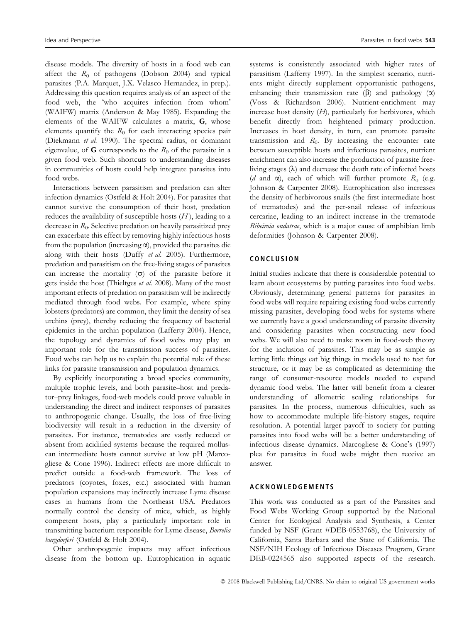disease models. The diversity of hosts in a food web can affect the  $R_0$  of pathogens (Dobson 2004) and typical parasites (P.A. Marquet, J.X. Velasco Hernandez, in prep.). Addressing this question requires analysis of an aspect of the food web, the 'who acquires infection from whom' (WAIFW) matrix (Anderson & May 1985). Expanding the elements of the WAIFW calculates a matrix, G, whose elements quantify the  $R_0$  for each interacting species pair (Diekmann et al. 1990). The spectral radius, or dominant eigenvalue, of **G** corresponds to the  $R_0$  of the parasite in a given food web. Such shortcuts to understanding diseases in communities of hosts could help integrate parasites into food webs.

Interactions between parasitism and predation can alter infection dynamics (Ostfeld & Holt 2004). For parasites that cannot survive the consumption of their host, predation reduces the availability of susceptible hosts  $(H)$ , leading to a decrease in  $R_0$ . Selective predation on heavily parasitized prey can exacerbate this effect by removing highly infectious hosts from the population (increasing  $\alpha$ ), provided the parasites die along with their hosts (Duffy et al. 2005). Furthermore, predation and parasitism on the free-living stages of parasites can increase the mortality  $(\sigma)$  of the parasite before it gets inside the host (Thieltges et al. 2008). Many of the most important effects of predation on parasitism will be indirectly mediated through food webs. For example, where spiny lobsters (predators) are common, they limit the density of sea urchins (prey), thereby reducing the frequency of bacterial epidemics in the urchin population (Lafferty 2004). Hence, the topology and dynamics of food webs may play an important role for the transmission success of parasites. Food webs can help us to explain the potential role of these links for parasite transmission and population dynamics.

By explicitly incorporating a broad species community, multiple trophic levels, and both parasite–host and predator–prey linkages, food-web models could prove valuable in understanding the direct and indirect responses of parasites to anthropogenic change. Usually, the loss of free-living biodiversity will result in a reduction in the diversity of parasites. For instance, trematodes are vastly reduced or absent from acidified systems because the required molluscan intermediate hosts cannot survive at low pH (Marcogliese & Cone 1996). Indirect effects are more difficult to predict outside a food-web framework. The loss of predators (coyotes, foxes, etc.) associated with human population expansions may indirectly increase Lyme disease cases in humans from the Northeast USA. Predators normally control the density of mice, which, as highly competent hosts, play a particularly important role in transmitting bacterium responsible for Lyme disease, Borrelia burgdorferi (Ostfeld & Holt 2004).

Other anthropogenic impacts may affect infectious disease from the bottom up. Eutrophication in aquatic systems is consistently associated with higher rates of parasitism (Lafferty 1997). In the simplest scenario, nutrients might directly supplement opportunistic pathogens, enhancing their transmission rate  $(\beta)$  and pathology  $(\alpha)$ (Voss & Richardson 2006). Nutrient-enrichment may increase host density  $(H)$ , particularly for herbivores, which benefit directly from heightened primary production. Increases in host density, in turn, can promote parasite transmission and  $R_0$ . By increasing the encounter rate between susceptible hosts and infectious parasites, nutrient enrichment can also increase the production of parasite freeliving stages  $(\lambda)$  and decrease the death rate of infected hosts (d and  $\alpha$ ), each of which will further promote  $R_0$  (e.g. Johnson & Carpenter 2008). Eutrophication also increases the density of herbivorous snails (the first intermediate host of trematodes) and the per-snail release of infectious cercariae, leading to an indirect increase in the trematode Ribeiroia ondatrae, which is a major cause of amphibian limb deformities (Johnson & Carpenter 2008).

### **CONCLUSION**

Initial studies indicate that there is considerable potential to learn about ecosystems by putting parasites into food webs. Obviously, determining general patterns for parasites in food webs will require repairing existing food webs currently missing parasites, developing food webs for systems where we currently have a good understanding of parasite diversity and considering parasites when constructing new food webs. We will also need to make room in food-web theory for the inclusion of parasites. This may be as simple as letting little things eat big things in models used to test for structure, or it may be as complicated as determining the range of consumer-resource models needed to expand dynamic food webs. The latter will benefit from a clearer understanding of allometric scaling relationships for parasites. In the process, numerous difficulties, such as how to accommodate multiple life-history stages, require resolution. A potential larger payoff to society for putting parasites into food webs will be a better understanding of infectious disease dynamics. Marcogliese & Cone's (1997) plea for parasites in food webs might then receive an answer.

#### ACKNOWLEDGEMENTS

This work was conducted as a part of the Parasites and Food Webs Working Group supported by the National Center for Ecological Analysis and Synthesis, a Center funded by NSF (Grant #DEB-0553768), the University of California, Santa Barbara and the State of California. The NSF/NIH Ecology of Infectious Diseases Program, Grant DEB-0224565 also supported aspects of the research.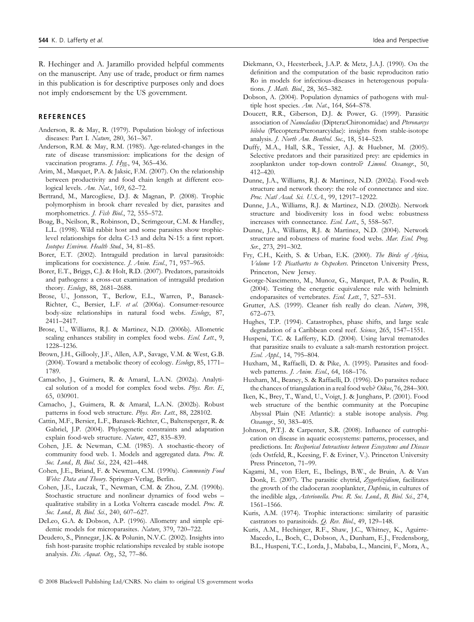R. Hechinger and A. Jaramillo provided helpful comments on the manuscript. Any use of trade, product or firm names in this publication is for descriptive purposes only and does not imply endorsement by the US government.

#### **REFERENCES**

- Anderson, R. & May, R. (1979). Population biology of infectious diseases: Part I. Nature, 280, 361–367.
- Anderson, R.M. & May, R.M. (1985). Age-related-changes in the rate of disease transmission: implications for the design of vaccination programs. J. Hyg., 94, 365-436.
- Arim, M., Marquet, P.A. & Jaksic, F.M. (2007). On the relationship between productivity and food chain length at different ecological levels. Am. Nat., 169, 62-72.
- Bertrand, M., Marcogliese, D.J. & Magnan, P. (2008). Trophic polymorphism in brook charr revealed by diet, parasites and morphometrics. *J. Fish Biol.*, 72, 555–572.
- Boag, B., Neilson, R., Robinson, D., Scrimgeour, C.M. & Handley, L.L. (1998). Wild rabbit host and some parasites show trophiclevel relationships for delta C-13 and delta N-15: a first report. Isotopes Environ. Health Stud., 34, 81–85.
- Borer, E.T. (2002). Intraguild predation in larval parasitoids: implications for coexistence. *J. Anim. Ecol.*, 71, 957-965.
- Borer, E.T., Briggs, C.J. & Holt, R.D. (2007). Predators, parasitoids and pathogens: a cross-cut examination of intraguild predation theory. Ecology, 88, 2681–2688.
- Brose, U., Jonsson, T., Berlow, E.L., Warren, P., Banasek-Richter, C., Bersier, L.F. et al. (2006a). Consumer-resource body-size relationships in natural food webs. Ecology, 87, 2411–2417.
- Brose, U., Williams, R.J. & Martinez, N.D. (2006b). Allometric scaling enhances stability in complex food webs. Ecol. Lett., 9, 1228–1236.
- Brown, J.H., Gillooly, J.F., Allen, A.P., Savage, V.M. & West, G.B. (2004). Toward a metabolic theory of ecology. Ecology, 85, 1771– 1789.
- Camacho, J., Guimera, R. & Amaral, L.A.N. (2002a). Analytical solution of a model for complex food webs. Phys. Rev. E, 65, 030901.
- Camacho, J., Guimera, R. & Amaral, L.A.N. (2002b). Robust patterns in food web structure. Phys. Rev. Lett., 88, 228102.
- Cattin, M.F., Bersier, L.F., Banasek-Richter, C., Baltensperger, R. & Gabriel, J.P. (2004). Phylogenetic constraints and adaptation explain food-web structure. Nature, 427, 835–839.
- Cohen, J.E. & Newman, C.M. (1985). A stochastic-theory of community food web. 1. Models and aggregated data. Proc. R. Soc. Lond., B, Biol. Sci., 224, 421-448.
- Cohen, J.E., Briand, F. & Newman, C.M. (1990a). Community Food Webs: Data and Theory. Springer-Verlag, Berlin.
- Cohen, J.E., Luczak, T., Newman, C.M. & Zhou, Z.M. (1990b). Stochastic structure and nonlinear dynamics of food webs – qualitative stability in a Lotka Volterra cascade model. Proc. R. Soc. Lond., B, Biol. Sci., 240, 607-627.
- DeLeo, G.A. & Dobson, A.P. (1996). Allometry and simple epidemic models for microparasites. Nature, 379, 720–722.
- Deudero, S., Pinnegar, J.K. & Polunin, N.V.C. (2002). Insights into fish host-parasite trophic relationships revealed by stable isotope analysis. Dis. Aquat. Org., 52, 77–86.
- Diekmann, O., Heesterbeek, J.A.P. & Metz, J.A.J. (1990). On the definition and the computation of the basic reproduciton ratio Ro in models for infectious-diseases in heterogenous populations. J. Math. Biol., 28, 365–382.
- Dobson, A. (2004). Population dynamics of pathogens with multiple host species. Am. Nat., 164, S64–S78.
- Doucett, R.R., Giberson, D.J. & Power, G. (1999). Parasitic association of Nanocladius (Diptera:Chironomidae) and Pteronarcys biloba (Plecoptera:Pteronarcyidae): insights from stable-isotope analysis. J. North Am. Benthol. Soc., 18, 514–523.
- Duffy, M.A., Hall, S.R., Tessier, A.J. & Huebner, M. (2005). Selective predators and their parasitized prey: are epidemics in zooplankton under top-down control? Limnol. Oceanogr., 50, 412–420.
- Dunne, J.A., Williams, R.J. & Martinez, N.D. (2002a). Food-web structure and network theory: the role of connectance and size. Proc. Natl Acad. Sci. U.S.A., 99, 12917–12922.
- Dunne, J.A., Williams, R.J. & Martinez, N.D. (2002b). Network structure and biodiversity loss in food webs: robustness increases with connectance. Ecol. Lett., 5, 558-567.
- Dunne, J.A., Williams, R.J. & Martinez, N.D. (2004). Network structure and robustness of marine food webs. Mar. Ecol. Prog. Ser., 273, 291-302.
- Fry, C.H., Keith, S. & Urban, E.K. (2000). The Birds of Africa, Volume VI: Picathartes to Oxpeckers. Princeton University Press, Princeton, New Jersey.
- George-Nascimento, M., Munoz, G., Marquet, P.A. & Poulin, R. (2004). Testing the energetic equivalence rule with helminth endoparasites of vertebrates. Ecol. Lett., 7, 527-531.
- Grutter, A.S. (1999). Cleaner fish really do clean. Nature, 398, 672–673.
- Hughes, T.P. (1994). Catastrophes, phase shifts, and large scale degradation of a Caribbean coral reef. Science, 265, 1547-1551.
- Huspeni, T.C. & Lafferty, K.D. (2004). Using larval trematodes that parasitize snails to evaluate a salt-marsh restoration project. Ecol. Appl., 14, 795–804.
- Huxham, M., Raffaelli, D. & Pike, A. (1995). Parasites and foodweb patterns. *J. Anim. Ecol.*, 64, 168-176.
- Huxham, M., Beaney, S. & Raffaelli, D. (1996). Do parasites reduce the chances of triangulation in a real food web? Oikos, 76, 284–300.
- Iken, K., Brey, T., Wand, U., Voigt, J. & Junghans, P. (2001). Food web structure of the benthic community at the Porcupine Abyssal Plain (NE Atlantic): a stable isotope analysis. Prog. Oceanogr., 50, 383–405.
- Johnson, P.T.J. & Carpenter, S.R. (2008). Influence of eutrophication on disease in aquatic ecosystems: patterns, processes, and predictions. In: Reciporical Interactions between Ecosystems and Disease (eds Ostfeld, R., Keesing, F. & Eviner, V.). Princeton University Press Princeton, 71–99.
- Kagami, M., von Elert, E., Ibelings, B.W., de Bruin, A. & Van Donk, E. (2007). The parasitic chytrid, Zygorhizidium, facilitates the growth of the cladoceran zooplankter, Daphnia, in cultures of the inedible alga, Asterionella. Proc. R. Soc. Lond., B, Biol. Sci., 274, 1561–1566.
- Kuris, A.M. (1974). Trophic interactions: similarity of parasitic castrators to parasitoids. Q. Rev. Biol., 49, 129–148.
- Kuris, A.M., Hechinger, R.F., Shaw, J.C., Whitney, K., Aguirre-Macedo, L., Boch, C., Dobson, A., Dunham, E.J., Fredensborg, B.L., Huspeni, T.C., Lorda, J., Mababa, L., Mancini, F., Mora, A.,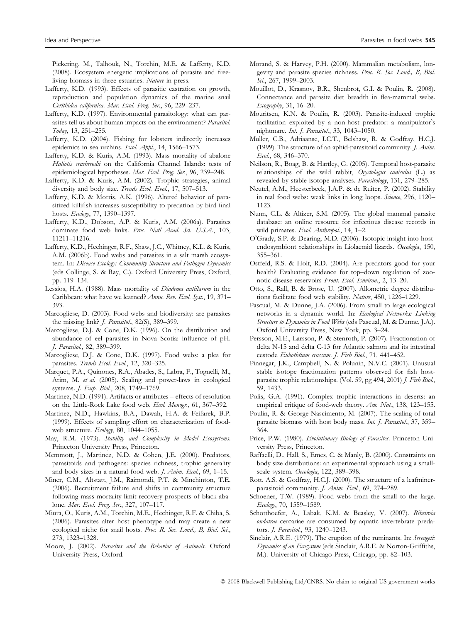Pickering, M., Talhouk, N., Torchin, M.E. & Lafferty, K.D. (2008). Ecosystem energetic implications of parasite and freeliving biomass in three estuaries. Nature in press.

- Lafferty, K.D. (1993). Effects of parasitic castration on growth, reproduction and population dynamics of the marine snail Cerithidea californica. Mar. Ecol. Prog. Ser., 96, 229–237.
- Lafferty, K.D. (1997). Environmental parasitology: what can parasites tell us about human impacts on the environment? Parasitol. Today, 13, 251–255.
- Lafferty, K.D. (2004). Fishing for lobsters indirectly increases epidemics in sea urchins. Ecol. Appl., 14, 1566-1573.
- Lafferty, K.D. & Kuris, A.M. (1993). Mass mortality of abalone Haliotis cracherodii on the California Channel Islands: tests of epidemiological hypotheses. Mar. Ecol. Prog. Ser., 96, 239–248.
- Lafferty, K.D. & Kuris, A.M. (2002). Trophic strategies, animal diversity and body size. Trends Ecol. Evol., 17, 507-513.
- Lafferty, K.D. & Morris, A.K. (1996). Altered behavior of parasitized killifish increases susceptibility to predation by bird final hosts. Ecology, 77, 1390–1397.
- Lafferty, K.D., Dobson, A.P. & Kuris, A.M. (2006a). Parasites dominate food web links. Proc. Natl Acad. Sci. U.S.A., 103, 11211–11216.
- Lafferty, K.D., Hechinger, R.F., Shaw, J.C., Whitney, K.L. & Kuris, A.M. (2006b). Food webs and parasites in a salt marsh ecosystem. In: Disease Ecology: Community Structure and Pathogen Dynamics (eds Collinge, S. & Ray, C.). Oxford University Press, Oxford, pp. 119–134.
- Lessios, H.A. (1988). Mass mortality of Diadema antillarum in the Caribbean: what have we learned? Annu. Rev. Ecol. Syst., 19, 371-393.
- Marcogliese, D. (2003). Food webs and biodiversity: are parasites the missing link? J. Parasitol., 82(S), 389–399.
- Marcogliese, D.J. & Cone, D.K. (1996). On the distribution and abundance of eel parasites in Nova Scotia: influence of pH. J. Parasitol., 82, 389–399.
- Marcogliese, D.J. & Cone, D.K. (1997). Food webs: a plea for parasites. Trends Ecol. Evol., 12, 320-325.
- Marquet, P.A., Quinones, R.A., Abades, S., Labra, F., Tognelli, M., Arim, M. et al. (2005). Scaling and power-laws in ecological systems. J. Exp. Biol., 208, 1749–1769.
- Martinez, N.D. (1991). Artifacts or attributes effects of resolution on the Little-Rock Lake food web. Ecol. Monogr., 61, 367–392.
- Martinez, N.D., Hawkins, B.A., Dawah, H.A. & Feifarek, B.P. (1999). Effects of sampling effort on characterization of foodweb structure. Ecology, 80, 1044-1055.
- May, R.M. (1973). Stability and Complexity in Model Ecosystems. Princeton University Press, Princeton.
- Memmott, J., Martinez, N.D. & Cohen, J.E. (2000). Predators, parasitoids and pathogens: species richness, trophic generality and body sizes in a natural food web. J. Anim. Ecol., 69, 1–15.
- Miner, C.M., Altstatt, J.M., Raimondi, P.T. & Minchinton, T.E. (2006). Recruitment failure and shifts in community structure following mass mortality limit recovery prospects of black abalone. Mar. Ecol. Prog. Ser., 327, 107–117.
- Miura, O., Kuris, A.M., Torchin, M.E., Hechinger, R.F. & Chiba, S. (2006). Parasites alter host phenotype and may create a new ecological niche for snail hosts. Proc. R. Soc. Lond., B, Biol. Sci., 273, 1323–1328.
- Moore, J. (2002). Parasites and the Behavior of Animals. Oxford University Press, Oxford.
- Morand, S. & Harvey, P.H. (2000). Mammalian metabolism, longevity and parasite species richness. Proc. R. Soc. Lond., B, Biol. Sci., 267, 1999–2003.
- Mouillot, D., Krasnov, B.R., Shenbrot, G.I. & Poulin, R. (2008). Connectance and parasite diet breadth in flea-mammal webs. Ecography, 31, 16–20.
- Mouritsen, K.N. & Poulin, R. (2003). Parasite-induced trophic facilitation exploited by a non-host predator: a manipulator's nightmare. Int. J. Parasitol., 33, 1043–1050.
- Muller, C.B., Adriaanse, I.C.T., Belshaw, R. & Godfray, H.C.J. (1999). The structure of an aphid-parasitoid community. J. Anim. Ecol., 68, 346–370.
- Neilson, R., Boag, B. & Hartley, G. (2005). Temporal host-parasite relationships of the wild rabbit, Oryctolagus cuniculus (L.) as revealed by stable isotope analyses. Parasitology, 131, 279–285.
- Neutel, A.M., Heesterbeek, J.A.P. & de Ruiter, P. (2002). Stability in real food webs: weak links in long loops. Science, 296, 1120– 1123.
- Nunn, C.L. & Altizer, S.M. (2005). The global mammal parasite database: an online resource for infectious disease records in wild primates. Evol. Anthropol., 14, 1-2.
- O'Grady, S.P. & Dearing, M.D. (2006). Isotopic insight into hostendosymbiont relationships in Liolaemid lizards. Oecologia, 150, 355–361.
- Ostfeld, R.S. & Holt, R.D. (2004). Are predators good for your health? Evaluating evidence for top–down regulation of zoonotic disease reservoirs Front. Ecol. Environ., 2, 13–20.
- Otto, S., Rall, B. & Brose, U. (2007). Allometric degree distributions facilitate food web stability. Nature, 450, 1226-1229.
- Pascual, M. & Dunne, J.A. (2006). From small to large ecological networks in a dynamic world. In: Ecological Networks: Linking Structure to Dynamics in Food Webs (eds Pascual, M. & Dunne, J.A.). Oxford University Press, New York, pp. 3–24.
- Persson, M.E., Larsson, P. & Stenroth, P. (2007). Fractionation of delta N-15 and delta C-13 for Atlantic salmon and its intestinal cestode Eubothtium crassum. J. Fish Biol., 71, 441–452.
- Pinnegar, J.K., Campbell, N. & Polunin, N.V.C. (2001). Unusual stable isotope fractionation patterns observed for fish hostparasite trophic relationships. (Vol. 59, pg 494, 2001) *J. Fish Biol.*, 59, 1433.
- Polis, G.A. (1991). Complex trophic interactions in deserts: an empirical critique of food-web theory. Am. Nat., 138, 123-155.
- Poulin, R. & George-Nascimento, M. (2007). The scaling of total parasite biomass with host body mass. Int. J. Parasitol., 37, 359– 364.
- Price, P.W. (1980). Evolutionary Biology of Parasites. Princeton University Press, Princeton.
- Raffaelli, D., Hall, S., Emes, C. & Manly, B. (2000). Constraints on body size distributions: an experimental approach using a smallscale system. Oecologia, 122, 389–398.
- Rott, A.S. & Godfray, H.C.J. (2000). The structure of a leafminerparasitoid community. *J. Anim. Ecol.*, 69, 274-289.
- Schoener, T.W. (1989). Food webs from the small to the large. Ecology, 70, 1559–1589.
- Schotthoefer, A., Labak, K.M. & Beasley, V. (2007). Ribeiroia ondatrae cercariae are consumed by aquatic invertebrate predators. J. Parasitol., 93, 1240–1243.
- Sinclair, A.R.E. (1979). The eruption of the ruminants. In: Serengeti: Dynamics of an Ecosystem (eds Sinclair, A.R.E. & Norton-Griffiths, M.). University of Chicago Press, Chicago, pp. 82–103.